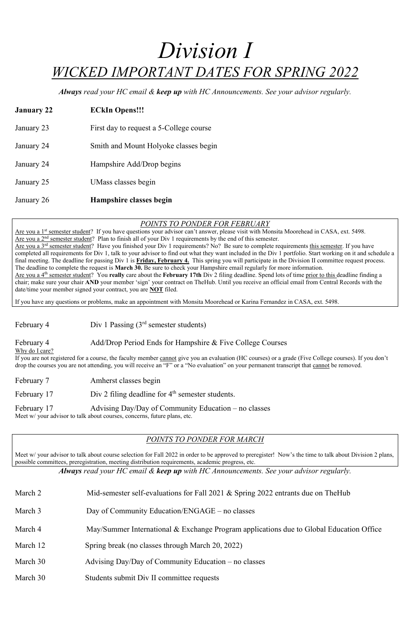# *Division I WICKED IMPORTANT DATES FOR SPRING 2022*

*Always read your HC email & keep up with HC Announcements. See your advisor regularly.*

| <b>January 22</b> | <b>ECkIn Opens!!!</b>                   |
|-------------------|-----------------------------------------|
| January 23        | First day to request a 5-College course |
| January 24        | Smith and Mount Holyoke classes begin   |
| January 24        | Hampshire Add/Drop begins               |
| January 25        | UMass classes begin                     |
| January 26        | Hampshire classes begin                 |

### *POINTS TO PONDER FOR FEBRUARY*

Are you a 1<sup>st</sup> semester student? If you have questions your advisor can't answer, please visit with Monsita Moorehead in CASA, ext. 5498. Are you a 2<sup>nd</sup> semester student? Plan to finish all of your Div 1 requirements by the end of this semester. Are you a 3<sup>rd</sup> semester student? Have you finished your Div 1 requirements? No? Be sure to complete requirements this semester. If you have completed all requirements for Div 1, talk to your advisor to find out what they want included in the Div 1 portfolio. Start working on it and schedule a final meeting. The deadline for passing Div 1 is **Friday, February 4.** This spring you will participate in the Division II committee request process. The deadline to complete the request is **March 30.** Be sure to check your Hampshire email regularly for more information. Are you a 4th semester student? You **really** care about the **February 17th** Div 2 filing deadline. Spend lots of time prior to this deadline finding a chair; make sure your chair **AND** your member 'sign' your contract on TheHub. Until you receive an official email from Central Records with the date/time your member signed your contract, you are **NOT** filed.

February 17 Advising Day/Day of Community Education – no classes Meet w/ your advisor to talk about courses, concerns, future plans, etc.

Meet w/ your advisor to talk about course selection for Fall 2022 in order to be approved to preregister! Now's the time to talk about Division 2 plans, possible committees, preregistration, meeting distribution requirements, academic progress, etc.

If you have any questions or problems, make an appointment with Monsita Moorehead or Karina Fernandez in CASA, ext. 5498.

February 4 Div 1 Passing (3<sup>rd</sup> semester students)

February 4 Add/Drop Period Ends for Hampshire & Five College Courses

Why do I care?

If you are not registered for a course, the faculty member cannot give you an evaluation (HC courses) or a grade (Five College courses). If you don't drop the courses you are not attending, you will receive an "F" or a "No evaluation" on your permanent transcript that cannot be removed.

February 7 Amherst classes begin

February 17  $Div 2$  filing deadline for  $4<sup>th</sup>$  semester students.

# *POINTS TO PONDER FOR MARCH*

*Always read your HC email & keep up with HC Announcements. See your advisor regularly.*

| March 2  | Mid-semester self-evaluations for Fall 2021 & Spring 2022 entrants due on The Hub       |
|----------|-----------------------------------------------------------------------------------------|
| March 3  | Day of Community Education/ENGAGE – no classes                                          |
| March 4  | May/Summer International & Exchange Program applications due to Global Education Office |
| March 12 | Spring break (no classes through March 20, 2022)                                        |
| March 30 | Advising Day/Day of Community Education $-$ no classes                                  |
| March 30 | Students submit Div II committee requests                                               |